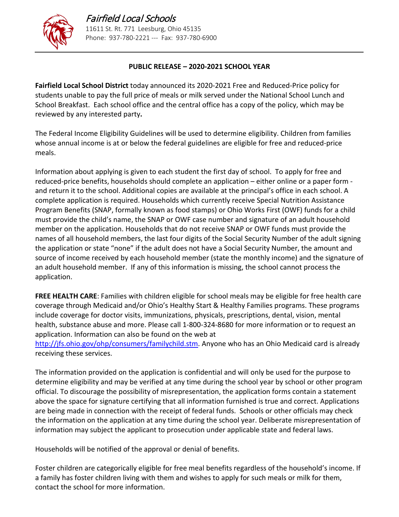

 $\overline{\phantom{a}}$ 

## Fairfield Local Schools

11611 St. Rt. 771 Leesburg, Ohio 45135 Phone: 937-780-2221 --- Fax: 937-780-6900

## **PUBLIC RELEASE – 2020-2021 SCHOOL YEAR**

**Fairfield Local School District** today announced its 2020-2021 Free and Reduced-Price policy for students unable to pay the full price of meals or milk served under the National School Lunch and School Breakfast. Each school office and the central office has a copy of the policy, which may be reviewed by any interested party**.**

The Federal Income Eligibility Guidelines will be used to determine eligibility. Children from families whose annual income is at or below the federal guidelines are eligible for free and reduced-price meals.

Information about applying is given to each student the first day of school. To apply for free and reduced-price benefits, households should complete an application – either online or a paper form and return it to the school. Additional copies are available at the principal's office in each school. A complete application is required. Households which currently receive Special Nutrition Assistance Program Benefits (SNAP, formally known as food stamps) or Ohio Works First (OWF) funds for a child must provide the child's name, the SNAP or OWF case number and signature of an adult household member on the application. Households that do not receive SNAP or OWF funds must provide the names of all household members, the last four digits of the Social Security Number of the adult signing the application or state "none" if the adult does not have a Social Security Number, the amount and source of income received by each household member (state the monthly income) and the signature of an adult household member. If any of this information is missing, the school cannot process the application.

**FREE HEALTH CARE**: Families with children eligible for school meals may be eligible for free health care coverage through Medicaid and/or Ohio's Healthy Start & Healthy Families programs. These programs include coverage for doctor visits, immunizations, physicals, prescriptions, dental, vision, mental health, substance abuse and more. Please call 1-800-324-8680 for more information or to request an application. Information can also be found on the web at [http://jfs.ohio.gov/ohp/consumers/familychild.stm.](http://jfs.ohio.gov/ohp/consumers/familychild.stm) Anyone who has an Ohio Medicaid card is already

receiving these services.

The information provided on the application is confidential and will only be used for the purpose to determine eligibility and may be verified at any time during the school year by school or other program official. To discourage the possibility of misrepresentation, the application forms contain a statement above the space for signature certifying that all information furnished is true and correct. Applications are being made in connection with the receipt of federal funds. Schools or other officials may check the information on the application at any time during the school year. Deliberate misrepresentation of information may subject the applicant to prosecution under applicable state and federal laws.

Households will be notified of the approval or denial of benefits.

Foster children are categorically eligible for free meal benefits regardless of the household's income. If a family has foster children living with them and wishes to apply for such meals or milk for them, contact the school for more information.